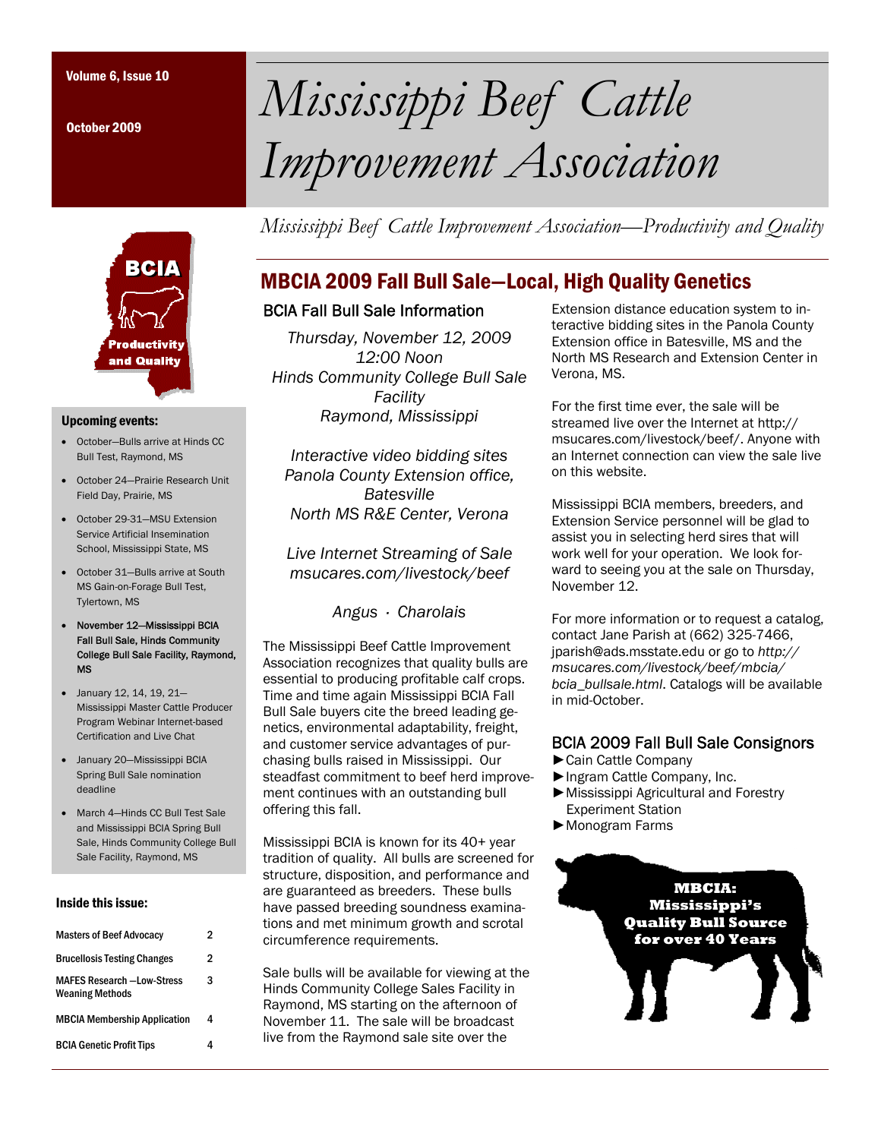October 2009



#### Upcoming events:

- October—Bulls arrive at Hinds CC Bull Test, Raymond, MS
- October 24—Prairie Research Unit Field Day, Prairie, MS
- October 29-31-MSU Extension Service Artificial Insemination School, Mississippi State, MS
- October 31—Bulls arrive at South MS Gain-on-Forage Bull Test, Tylertown, MS
- November 12—Mississippi BCIA Fall Bull Sale, Hinds Community College Bull Sale Facility, Raymond, MS
- January 12, 14, 19, 21— Mississippi Master Cattle Producer Program Webinar Internet-based Certification and Live Chat
- January 20—Mississippi BCIA Spring Bull Sale nomination deadline
- March 4—Hinds CC Bull Test Sale and Mississippi BCIA Spring Bull Sale, Hinds Community College Bull Sale Facility, Raymond, MS

#### Inside this issue:

| <b>Masters of Beef Advocacy</b>                             | 2 |  |
|-------------------------------------------------------------|---|--|
| <b>Brucellosis Testing Changes</b>                          | 2 |  |
| <b>MAFES Research -Low-Stress</b><br><b>Weaning Methods</b> | 3 |  |
| <b>MBCIA Membership Application</b>                         | 4 |  |
| <b>BCIA Genetic Profit Tips</b>                             |   |  |

# Volume 6, Issue 10 *Mississippi Beef Cattle Improvement Association*

*Mississippi Beef Cattle Improvement Association—Productivity and Quality* 

## MBCIA 2009 Fall Bull Sale—Local, High Quality Genetics

#### BCIA Fall Bull Sale Information

*Thursday, November 12, 2009 12:00 Noon Hinds Community College Bull Sale Facility Raymond, Mississippi* 

*Interactive video bidding sites Panola County Extension office, Batesville North MS R&E Center, Verona* 

*Live Internet Streaming of Sale msucares.com/livestock/beef* 

*Angus · Charolais* 

The Mississippi Beef Cattle Improvement Association recognizes that quality bulls are essential to producing profitable calf crops. Time and time again Mississippi BCIA Fall Bull Sale buyers cite the breed leading genetics, environmental adaptability, freight, and customer service advantages of purchasing bulls raised in Mississippi. Our steadfast commitment to beef herd improvement continues with an outstanding bull offering this fall.

Mississippi BCIA is known for its 40+ year tradition of quality. All bulls are screened for structure, disposition, and performance and are guaranteed as breeders. These bulls have passed breeding soundness examinations and met minimum growth and scrotal circumference requirements.

Sale bulls will be available for viewing at the Hinds Community College Sales Facility in Raymond, MS starting on the afternoon of November 11. The sale will be broadcast live from the Raymond sale site over the

Extension distance education system to interactive bidding sites in the Panola County Extension office in Batesville, MS and the North MS Research and Extension Center in Verona, MS.

For the first time ever, the sale will be streamed live over the Internet at http:// msucares.com/livestock/beef/. Anyone with an Internet connection can view the sale live on this website.

Mississippi BCIA members, breeders, and Extension Service personnel will be glad to assist you in selecting herd sires that will work well for your operation. We look forward to seeing you at the sale on Thursday, November 12.

For more information or to request a catalog, contact Jane Parish at (662) 325-7466, jparish@ads.msstate.edu or go to *http:// msucares.com/livestock/beef/mbcia/ bcia\_bullsale.html*. Catalogs will be available in mid-October.

#### BCIA 2009 Fall Bull Sale Consignors

- ►Cain Cattle Company
- ►Ingram Cattle Company, Inc.
- ►Mississippi Agricultural and Forestry Experiment Station
- ►Monogram Farms

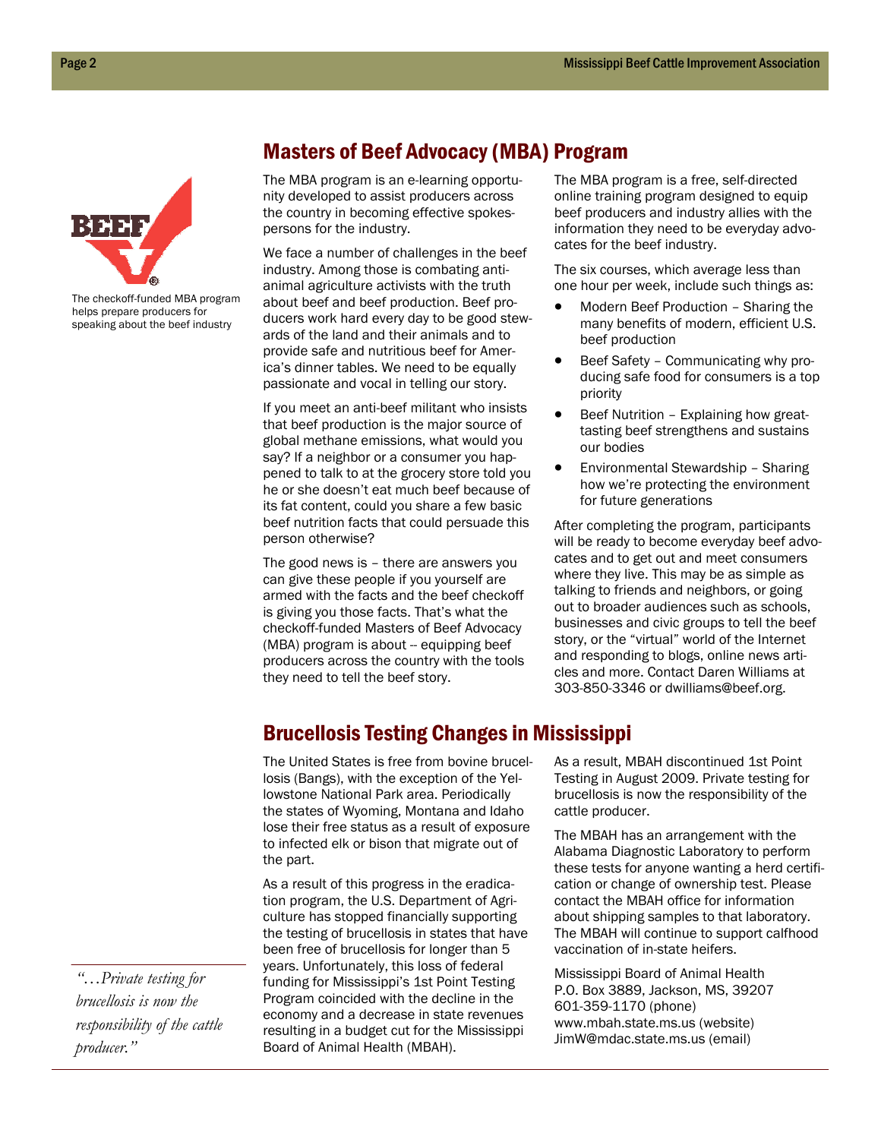

The checkoff-funded MBA program helps prepare producers for speaking about the beef industry

#### Masters of Beef Advocacy (MBA) Program

The MBA program is an e-learning opportunity developed to assist producers across the country in becoming effective spokespersons for the industry.

We face a number of challenges in the beef industry. Among those is combating antianimal agriculture activists with the truth about beef and beef production. Beef producers work hard every day to be good stewards of the land and their animals and to provide safe and nutritious beef for America's dinner tables. We need to be equally passionate and vocal in telling our story.

If you meet an anti-beef militant who insists that beef production is the major source of global methane emissions, what would you say? If a neighbor or a consumer you happened to talk to at the grocery store told you he or she doesn't eat much beef because of its fat content, could you share a few basic beef nutrition facts that could persuade this person otherwise?

The good news is – there are answers you can give these people if you yourself are armed with the facts and the beef checkoff is giving you those facts. That's what the checkoff-funded Masters of Beef Advocacy (MBA) program is about -- equipping beef producers across the country with the tools they need to tell the beef story.

The MBA program is a free, self-directed online training program designed to equip beef producers and industry allies with the information they need to be everyday advocates for the beef industry.

The six courses, which average less than one hour per week, include such things as:

- Modern Beef Production Sharing the many benefits of modern, efficient U.S. beef production
- Beef Safety Communicating why producing safe food for consumers is a top priority
- Beef Nutrition Explaining how greattasting beef strengthens and sustains our bodies
- Environmental Stewardship Sharing how we're protecting the environment for future generations

After completing the program, participants will be ready to become everyday beef advocates and to get out and meet consumers where they live. This may be as simple as talking to friends and neighbors, or going out to broader audiences such as schools, businesses and civic groups to tell the beef story, or the "virtual" world of the Internet and responding to blogs, online news articles and more. Contact Daren Williams at 303-850-3346 or dwilliams@beef.org.

#### Brucellosis Testing Changes in Mississippi

The United States is free from bovine brucellosis (Bangs), with the exception of the Yellowstone National Park area. Periodically the states of Wyoming, Montana and Idaho lose their free status as a result of exposure to infected elk or bison that migrate out of the part.

As a result of this progress in the eradication program, the U.S. Department of Agriculture has stopped financially supporting the testing of brucellosis in states that have been free of brucellosis for longer than 5 years. Unfortunately, this loss of federal funding for Mississippi's 1st Point Testing Program coincided with the decline in the economy and a decrease in state revenues resulting in a budget cut for the Mississippi Board of Animal Health (MBAH).

As a result, MBAH discontinued 1st Point Testing in August 2009. Private testing for brucellosis is now the responsibility of the cattle producer.

The MBAH has an arrangement with the Alabama Diagnostic Laboratory to perform these tests for anyone wanting a herd certification or change of ownership test. Please contact the MBAH office for information about shipping samples to that laboratory. The MBAH will continue to support calfhood vaccination of in-state heifers.

Mississippi Board of Animal Health P.O. Box 3889, Jackson, MS, 39207 601-359-1170 (phone) www.mbah.state.ms.us (website) JimW@mdac.state.ms.us (email)

*"…Private testing for brucellosis is now the responsibility of the cattle producer."*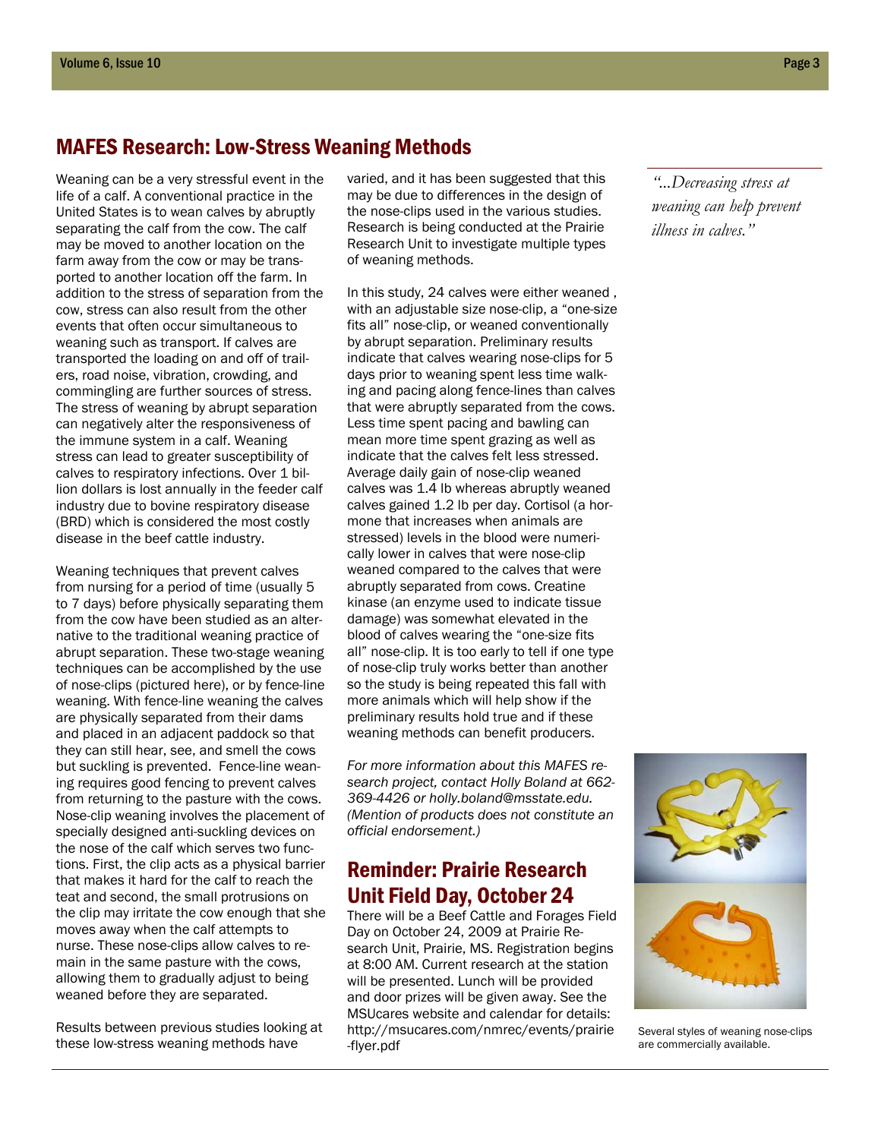## MAFES Research: Low-Stress Weaning Methods

Weaning can be a very stressful event in the life of a calf. A conventional practice in the United States is to wean calves by abruptly separating the calf from the cow. The calf may be moved to another location on the farm away from the cow or may be transported to another location off the farm. In addition to the stress of separation from the cow, stress can also result from the other events that often occur simultaneous to weaning such as transport. If calves are transported the loading on and off of trailers, road noise, vibration, crowding, and commingling are further sources of stress. The stress of weaning by abrupt separation can negatively alter the responsiveness of the immune system in a calf. Weaning stress can lead to greater susceptibility of calves to respiratory infections. Over 1 billion dollars is lost annually in the feeder calf industry due to bovine respiratory disease (BRD) which is considered the most costly disease in the beef cattle industry.

Weaning techniques that prevent calves from nursing for a period of time (usually 5 to 7 days) before physically separating them from the cow have been studied as an alternative to the traditional weaning practice of abrupt separation. These two-stage weaning techniques can be accomplished by the use of nose-clips (pictured here), or by fence-line weaning. With fence-line weaning the calves are physically separated from their dams and placed in an adjacent paddock so that they can still hear, see, and smell the cows but suckling is prevented. Fence-line weaning requires good fencing to prevent calves from returning to the pasture with the cows. Nose-clip weaning involves the placement of specially designed anti-suckling devices on the nose of the calf which serves two functions. First, the clip acts as a physical barrier that makes it hard for the calf to reach the teat and second, the small protrusions on the clip may irritate the cow enough that she moves away when the calf attempts to nurse. These nose-clips allow calves to remain in the same pasture with the cows, allowing them to gradually adjust to being weaned before they are separated.

Results between previous studies looking at these low-stress weaning methods have

varied, and it has been suggested that this may be due to differences in the design of the nose-clips used in the various studies. Research is being conducted at the Prairie Research Unit to investigate multiple types of weaning methods.

In this study, 24 calves were either weaned , with an adjustable size nose-clip, a "one-size fits all" nose-clip, or weaned conventionally by abrupt separation. Preliminary results indicate that calves wearing nose-clips for 5 days prior to weaning spent less time walking and pacing along fence-lines than calves that were abruptly separated from the cows. Less time spent pacing and bawling can mean more time spent grazing as well as indicate that the calves felt less stressed. Average daily gain of nose-clip weaned calves was 1.4 lb whereas abruptly weaned calves gained 1.2 lb per day. Cortisol (a hormone that increases when animals are stressed) levels in the blood were numerically lower in calves that were nose-clip weaned compared to the calves that were abruptly separated from cows. Creatine kinase (an enzyme used to indicate tissue damage) was somewhat elevated in the blood of calves wearing the "one-size fits all" nose-clip. It is too early to tell if one type of nose-clip truly works better than another so the study is being repeated this fall with more animals which will help show if the preliminary results hold true and if these weaning methods can benefit producers.

*For more information about this MAFES research project, contact Holly Boland at 662- 369-4426 or holly.boland@msstate.edu. (Mention of products does not constitute an official endorsement.)* 

## Reminder: Prairie Research Unit Field Day, October 24

There will be a Beef Cattle and Forages Field Day on October 24, 2009 at Prairie Research Unit, Prairie, MS. Registration begins at 8:00 AM. Current research at the station will be presented. Lunch will be provided and door prizes will be given away. See the MSUcares website and calendar for details: http://msucares.com/nmrec/events/prairie -flyer.pdf

*"...Decreasing stress at weaning can help prevent illness in calves."* 



Several styles of weaning nose-clips are commercially available.